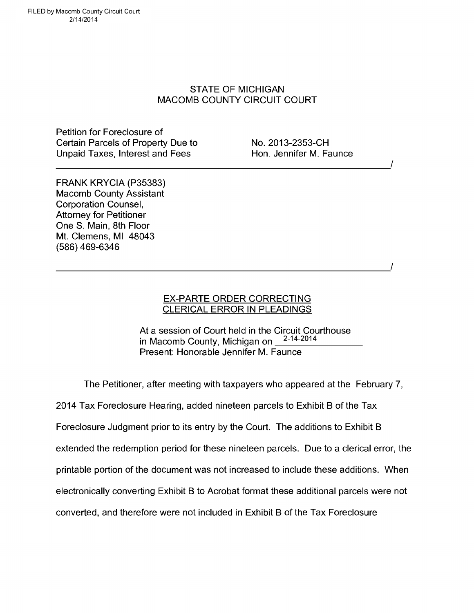FILED by Macomb County Circuit Court 2/14/2014

## STATE OF MICHIGAN MACOMB COUNTY CIRCUIT COURT

Petition for Foreclosure of Certain Parcels of Property Due to No. 2013-2353-CH Unpaid Taxes, Interest and Fees Hon. Jennifer M. Faunce

/

FRANK KRYCIA (P35383) Macomb County Assistant Corporation Counsel, Attorney for Petitioner One S. Main, 8th Floor Mt. Clemens, MI 48043 (586) 469-6346

## EX-PARTE ORDER CORRECTING CLERICAL ERROR IN PLEADINGS

At a session of Court held in the Circuit Courthouse<br>in Macomb County, Michigan on  $2-14-2014$ in Macomb County, Michigan on Present: Honorable Jennifer M. Faunce

The Petitioner, after meeting with taxpayers who appeared at the February 7,

2014 Tax Foreclosure Hearing, added nineteen parcels to Exhibit B of the Tax

Foreclosure Judgment prior to its entry by the Court. The additions to Exhibit B

extended the redemption period for these nineteen parcels. Due to a clerical error, the

printable portion of the document was not increased to include these additions. When

electronically converting Exhibit B to Acrobat format these additional parcels were not

converted, and therefore were not included in Exhibit B of the Tax Foreclosure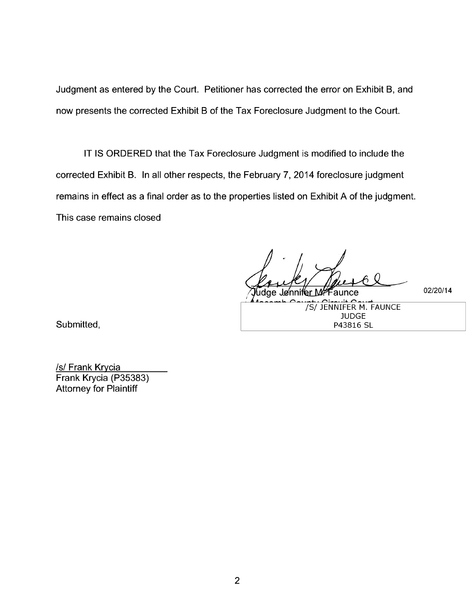Judgment as entered by the Court. Petitioner has corrected the error on Exhibit B, and now presents the corrected Exhibit B of the Tax Foreclosure Judgment to the Court.

IT IS ORDERED that the Tax Foreclosure Judgment is modified to include the corrected Exhibit B. In all other respects, the February 7, 2014 foreclosure judgment remains in effect as a final order as to the properties listed on Exhibit A of the judgment. This case remains closed

Tudge Jennifer M. Faunce 02/20/14

/S/ JENNIFER M. FAUNCE JUDGE P43816 SL

Submitted,

/s/ Frank Krycia Frank Krycia (P35383) Attorney for Plaintiff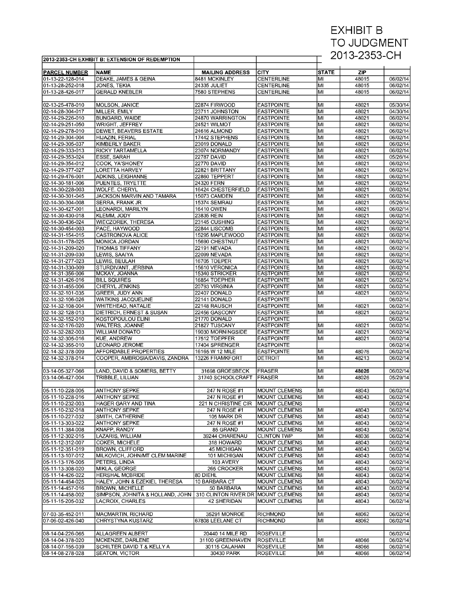## EXHIBIT B TO JUDGMENT 2013-2353-CH

|                                      | 2013-2353-CH EXHIBIT B: EXTENSION OF REDEMPTION            |                                     |                                        | ZUT3-Z303-UH |                |                      |
|--------------------------------------|------------------------------------------------------------|-------------------------------------|----------------------------------------|--------------|----------------|----------------------|
|                                      |                                                            |                                     |                                        |              |                |                      |
| <b>PARCEL NUMBER</b>                 | <b>NAME</b>                                                | <b>MAILING ADDRESS</b>              | <b>CITY</b>                            | <b>STATE</b> | ZIP            |                      |
| 01-13-22-128-014                     | DEAKE, JAMES & GEINA                                       | 8481 MCKINLEY                       | <b>CENTERLINE</b>                      | lмı          | 48015          | 06/02/14             |
| 01-13-28-252-018                     | JONES, TEKIA                                               | 24335 JULIET                        | <b>CENTERLINE</b>                      | lмı          | 48015          | 06/02/14             |
| 01-13-28-426-017                     | <b>GERALD KNEBLER</b>                                      | 7580 STEPHENS                       | CENTERLINE                             | MІ           | 48015          | 06/02/14             |
|                                      |                                                            |                                     |                                        |              |                |                      |
| 02-13-25-478-010                     | MOLSON, JANICE                                             | 22874 FIRWOOD                       | <b>EASTPOINTE</b>                      | lмı          | 48021          | 05/30/14             |
| 02-14-28-304-017                     | MILLER, EMILY                                              | 23711 JOHNSTON                      | <b>EASTPOINTE</b>                      | lмı          | 48021          | 04/30/14             |
| 02-14-29-226-010                     | <b>BUNGARD, WAIDE</b>                                      | 24870 WARRINGTON                    | <b>EASTPOINTE</b>                      | lмı          | 48021          | 06/02/14             |
| 02-14-29-251-050                     | WRIGHT, JEFFREY                                            | 24521 WILMOT                        | <b>EASTPOINTE</b>                      | lмı          | 48021          | 06/02/14             |
| 02-14-29-278-010                     | DEWET, BEAVERS ESTATE                                      | 24616 ALMOND                        | <b>EASTPOINTE</b>                      | lмı          | 48021          | 06/02/14             |
| 02-14-29-304-004                     | HIJAZIN, FERIAL                                            | 17442 STEPHENS                      | <b>EASTPOINTE</b>                      | MI           | 48021          | 06/02/14             |
| 02-14-29-305-037                     | <b>KIMBERLY BAKER</b>                                      | 23019 DONALD                        | <b>EASTPOINTE</b>                      | lмı          | 48021          | 06/02/14             |
| 02-14-29-333-013                     | <b>RICKY TARTAMELLA</b>                                    | 23074 NORMANDY                      | <b>EASTPOINTE</b>                      | lмı          | 48021          | 06/02/14             |
| 02-14-29-353-024                     | ESSE, SARAH                                                | <b>22787 DAVID</b>                  | <b>EASTPOINTE</b>                      | lмı          | 48021          | 05/26/14             |
| 02-14-29-354-012                     | COOK, YA'SHONEY                                            | <b>22770 DAVID</b>                  | <b>EASTPOINTE</b>                      | lмı          | 48021          | 06/02/14             |
| 02-14-29-377-027                     | <b>LORETTA HARVEY</b>                                      | 22821 BRITTANY                      | <b>EASTPOINTE</b>                      | MI           | 48021          | 06/02/14             |
| 02-14-29-476-001                     | ADKINS, LEIGHANNE                                          | 22860 TEPPERT                       | <b>EASTPOINTE</b>                      | lмı          | 48021          | 06/02/14             |
| 02-14-30-181-006                     | PUENTES, TRYETTE                                           | 24320 FERN                          | <b>EASTPOINTE</b>                      | lмı          | 48021          | 06/02/14             |
| 02-14-30-228-003                     | WOLFE. CHERYL                                              | 16424 CHESTERFIELD                  | <b>EASTPOINTE</b>                      | lмı          | 48021          | 06/02/14             |
| 02-14-30-301-045                     | JACKSON MARVIN AND TAMARA                                  | 15073 CAMDEN                        | <b>EASTPOINTE</b>                      | lмı          | 48021          | 06/02/14             |
| 02-14-30-304-008                     | <b>SERRA, FRANK JR</b>                                     | 15374 SEMRAU                        | <b>EASTPOINTE</b>                      | MI           | 48021          | 05/26/14             |
| 02-14-30-427-001                     | LEONARDI. MARILYN                                          | 16410 OWEN                          | <b>EASTPOINTE</b>                      | lмı          | 48021          | 06/02/14             |
| 02-14-30-430-018<br>02-14-30-436-024 | <b>KLEMM. JODY</b>                                         | 23835 REIN                          | <b>EASTPOINTE</b>                      | lмı          | 48021          | 06/02/14             |
| 02-14-30-454-003                     | <b>WIECZOREK, THERESA</b><br>PACE. HAYWOOD                 | 23145 CUSHING                       | <b>EASTPOINTE</b>                      | lмı<br>lмı   | 48021<br>48021 | 06/02/14<br>06/02/14 |
| 02-14-31-154-015                     | <b>CASTRONOVA ALICE</b>                                    | 22844 LISCOMB<br>15295 MAPLEWOOD    | <b>EASTPOINTE</b>                      | MI           | 48021          |                      |
| 02-14-31-178-025                     | MONICA JORDAN                                              | 15690 CHESTNUT                      | <b>EASTPOINTE</b><br><b>EASTPOINTE</b> | lмı          | 48021          | 06/02/14<br>06/02/14 |
| 02-14-31-209-020                     | <b>THOMAS TIFFANY</b>                                      | 22191 NEVADA                        | <b>EASTPOINTE</b>                      | lмı          | 48021          | 06/02/14             |
| 02-14-31-209-030                     | LEWIS, SAAIYA                                              | 22099 NEVADA                        | <b>EASTPOINTE</b>                      | lмı          | 48021          | 06/02/14             |
| 02-14-31-277-023                     | LEWIS. BEULAH                                              | 16705 TOEPER                        | <b>EASTPOINTE</b>                      | lмı          | 48021          | 06/02/14             |
| 02-14-31-330-009                     | STURDIVANT, JERBINA                                        | 15610 VERONICA                      | <b>EASTPOINTE</b>                      | lмı          | 48021          | 06/02/14             |
| 02-14-31-356-006                     | MCKAY, JOANNA                                              | 15340 STRICKER                      | <b>EASTPOINTE</b>                      | M            | 48021          | 06/02/14             |
| 02-14-31-426-016                     | <b>BILL SQUIRES</b>                                        | 16854 TOEPHER                       | <b>EASTPOINTE</b>                      | lмı          | 48021          | 06/02/14             |
| 02-14-31-455-006                     | <b>CHERYL JENKINS</b>                                      | 20793 VIRGINIA                      | <b>EASTPOINTE</b>                      | MI           | 48021          | 06/02/14             |
| 02-14-32-101-035                     | GREER, JUDY ANN                                            | 22407 DONALD                        | <b>EASTPOINTE</b>                      | lмı          | 48021          | 06/02/14             |
| 02-14-32-106-026                     | <b>WATKINS JACQUELINE</b>                                  | 22141 DONALD                        | <b>EASTPOINTE</b>                      |              |                | 06/02/14             |
| 02-14-32-108-004                     | WHITEHEAD, NATALIE                                         | 22148 RAUSCH                        | <b>EASTPOINTE</b>                      | MI           | 48021          | 06/02/14             |
| 02-14-32-128-013                     | DIETRICH, ERNEST & SUSAN                                   | 22456 GASCONY                       | <b>EASTPOINTE</b>                      | lмı          | 48021          | 06/02/14             |
| 02-14-32-152-010                     | KOSTOPOULOU ELINI                                          | 21770 DONALD                        | <b>EASTPOINTE</b>                      |              |                | 06/02/14             |
| 02-14-32-176-020                     | WALTERS, JOANNE                                            | 21827 TUSCANY                       | <b>EASTPOINTE</b>                      | MІ           | 48021          | 06/02/14             |
| 02-14-32-282-003                     | <b>WILLIAM DONATO</b>                                      | 19030 MORNINGSIDE                   | <b>EASTPOINTE</b>                      | MI           | 48021          | 06/02/14             |
| 02-14-32-305-016                     | <b>KUE, ANDREW</b>                                         | 17512 TOEPFER                       | <b>EASTPOINTE</b>                      | MI           | 48021          | 06/02/14             |
| 02-14-32-355-010                     | <b>LEONARD JEROME</b>                                      | 17404 SPRENGER                      | <b>EASTPOINTE</b>                      |              |                | 06/02/14             |
| 02-14-32-378-009                     | AFFORDABLE PROPERTIES                                      | 16165 W 12 MILE                     | <b>EASTPOINTE</b>                      | lмı          | 48076          | 06/02/14             |
| 02-14-32-378-014                     | COOPER, AMBROSIA/DAVIS, ZANDRA                             | 13226 FRAMKFORT                     | <b>DETROIT</b>                         | lмı          | 48213          | 06/02/14             |
|                                      |                                                            |                                     |                                        |              |                |                      |
| 03-14-05-327-066                     | LAND, DAVID & SOMERS, BETTY                                | 31698 GROESBECK                     | <b>FRASER</b>                          | MI           | 48026          | 06/02/14             |
| 03-14-06-427-004                     | TRIBBLE, LILLIAN                                           | 31740 SCHOOLCRAFT                   | <b>FRASER</b>                          | lмı          | 48026          | 05/29/14             |
|                                      |                                                            |                                     |                                        |              |                |                      |
| 05-11-10-228-005                     | <b>ANTHONY SEPKE</b>                                       | 247 N ROSE #1                       | <b>MOUNT CLEMENS</b>                   | MІ           | 48043          | 06/02/14             |
| 05-11-10-228-016                     | <b>ANTHONY SEPKE</b>                                       | 247 N ROSE #1                       | <b>MOUNT CLEMENS</b>                   | lмı          | 48043          | 06/02/14             |
| 05-11-10-232-003                     | HAGER GARY AND TINA                                        | 221 N CHRISTINE CIR   MOUNT CLEMENS |                                        |              |                | 06/02/14             |
| 05-11-10-232-018                     | <b>ANTHONY SEPKE</b>                                       | 247 N ROSE #1                       | <b>MOUNT CLEMENS</b>                   | MI           | 48043          | 06/02/14             |
| 05-11-10-227-032                     | SMITH, CATHERINE                                           | 105 MARK DR                         | <b>MOUNT CLEMENS</b>                   | lмı          | 48043          | 06/02/14             |
| 05-11-13-303-022                     | <b>ANTHONY SEPKE</b>                                       | 247 N ROSE #1                       | <b>MOUNT CLEMENS</b>                   | MІ           | 48043          | 06/02/14             |
| 05-11-11-384-008                     | KNAPP, RANDY                                               | 85 GRAND                            | MOUNT CLEMENS                          | lмı          | 48043          | 06/02/14             |
| 05-11-12-302-015                     | LAZARIS, WILLIAM                                           | 39244 CHARENAU                      | <b>CLINTON TWP</b>                     | MI           | 48036          | 06/02/14             |
| 05-11-12-312-007                     | <b>COKER, MICHELE</b>                                      | 318 HOWARD                          | MOUNT CLEMENS                          | MI           | 48043          | 06/02/14             |
| 05-11-12-351-019                     | BROWN, CLIFFORD                                            | <b>45 MICHIGAN</b>                  | <b>MOUNT CLEMENS</b>                   | lмı          | 48043          | 06/02/14             |
| 05-11-13-107-012                     | MILKOVICH, JOHN/MT CLEM MARINE                             | 101 MICHIGAN                        | <b>MOUNT CLEMENS</b>                   | MІ           | 48043          | 06/02/14             |
| 05-11-13-176-005                     | PETERS, LINDA                                              | 103 AVERY                           | MOUNT CLEMENS                          | lмı          | 48043          | 06/02/14             |
| 05-11-13-308-020                     | MIKLA, GEORGE                                              | 265 CROCKER                         | MOUNT CLEMENS                          | MI           | 48043          | 06/02/14             |
| 05-11-14-426-022                     | <b>HERSHAL MCBRIDE</b>                                     | 80 DIEHL                            | <b>MOUNT CLEMENS</b>                   | MI           | 48043          | 06/02/14             |
| 05-11-14-454-025                     | HALEY, JOHN & EZEKIEL THERESA                              | 10 BARBARA CT                       | MOUNT CLEMENS                          | lмı<br>MІ    | 48043          | 06/02/14             |
| 05-11-14-457-016<br>05-11-14-458-002 | <b>BROWN, MICHELLE</b><br>SIMPSON. JOHNITA & HOLLAND. JOHN | 50 BARBARA                          | <b>MOUNT CLEMENS</b>                   | lмı          | 48043          | 06/02/14<br>06/02/14 |
|                                      |                                                            | 310 CLINTON RIVER DR MOUNT CLEMENS  |                                        |              | 48043          |                      |
| 05-11-15-205-032                     | LACROIX, CHARLES                                           | 42 SHERIDAN                         | <b>MOUNT CLEMENS</b>                   | MІ           | 48043          | 06/02/14             |
| 07-03-35-452-011                     | MACMARTIN, RICHARD                                         | 35291 MONROE                        | <b>RICHMOND</b>                        | MI           | 48062          | 06/02/14             |
| 07-06-02-426-040                     | CHRYSTYNA KUSTARZ                                          | 67808 LEELANE CT                    | <b>RICHMOND</b>                        | MІ           | 48062          | 06/02/14             |
|                                      |                                                            |                                     |                                        |              |                |                      |
| 08-14-04-226-065                     | ALLAGREEN ALBERT                                           | 20440 14 MILE RD                    | <b>ROSEVILLE</b>                       |              |                | 06/02/14             |
| 08-14-04-378-020                     | MCKENZIE, DARLENE                                          | 31100 GREENHAVEN                    | ROSEVILLE                              | MI           | 48066          | 06/02/14             |
| 08-14-07-155-039                     | SCHILTER DAVID T & KELLY A                                 | 30115 CALAHAN                       | <b>ROSEVILLE</b>                       | MI           | 48066          | 06/02/14             |
| 08-14-08-278-028                     | SEATON, VICTOR                                             | 30430 PARK                          | <b>ROSEVILLE</b>                       | MI           | 48066          | 06/02/14             |
|                                      |                                                            |                                     |                                        |              |                |                      |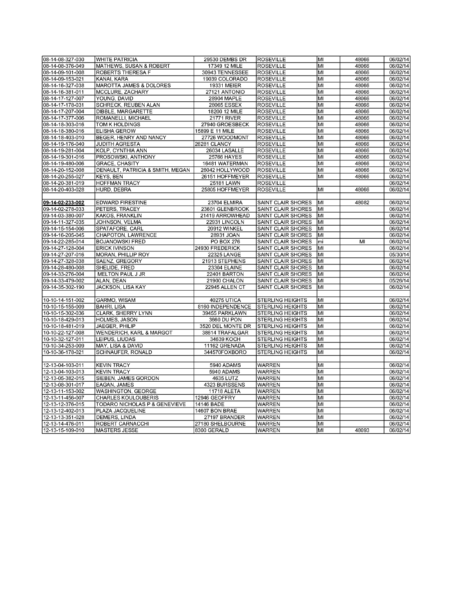| 08-14-08-327-030 | <b>WHITE PATRICIA</b>               | 29530 DEMBS DR     | <b>ROSEVILLE</b>          | lМI            | 48066 | 06/02/14 |
|------------------|-------------------------------------|--------------------|---------------------------|----------------|-------|----------|
| 08-14-08-376-049 | MATHEWS, SUSAN & ROBERT             | 17349 12 MILE      | <b>ROSEVILLE</b>          | MI             | 48066 | 06/02/14 |
| 08-14-09-101-008 | <b>ROBERTS THERESA F</b>            | 30943 TENNESSEE    | <b>ROSEVILLE</b>          | lмı            | 48066 | 06/02/14 |
| 08-14-09-153-021 | KANAI, KARA                         | 19039 COLORADO     | <b>ROSEVILLE</b>          | lмı            | 48066 | 06/02/14 |
| 08-14-16-327-038 | <b>MAROTTA JAMES &amp; DOLORES</b>  | 19331 MEIER        | <b>ROSEVILLE</b>          | MI             | 48066 | 06/02/14 |
| 08-14-16-381-011 | MCCLURE, ZACHARY                    | 27121 ANTONIO      | <b>ROSEVILLE</b>          | lмı            | 48066 | 06/02/14 |
| 08-14-17-127-007 | YOUNG, DAVID                        | 28904 MAPLE        | <b>ROSEVILLE</b>          | MI             | 48066 | 06/02/14 |
| 08-14-17-178-031 | <b>SCHRECK, REUBEN ALAN</b>         | 28065 ESSEX        | <b>ROSEVILLE</b>          | MI             | 48066 | 06/02/14 |
| 08-14-17-207-004 | DIBBLE, MARGARETTE                  | 18200 12 MILE      | <b>ROSEVILLE</b>          | MI             | 48066 | 06/02/14 |
| 08-14-17-377-006 | ROMANELLI, MICHAEL                  | <b>21771 RIVER</b> | <b>ROSEVILLE</b>          | lмı            | 48066 | 06/02/14 |
| 08-14-18-303-016 | TOM K HOLDINGS                      | 27940 GROESBECK    | <b>ROSEVILLE</b>          | МI             | 48066 | 06/02/14 |
| 08-14-18-380-016 | <b>ELISHA GEROW</b>                 | 15899 E 11 MILE    | <b>ROSEVILLE</b>          | MI             | 48066 | 06/02/14 |
| 08-14-18-403-010 | BEGER, HENRY AND NANCY              | 27726 WOODMONT     | <b>ROSEVILLE</b>          | lмı            | 48066 | 06/02/14 |
| 08-14-19-176-040 | <b>JUDITH AGRESTA</b>               | 26281 CLANCY       | <b>ROSEVILLE</b>          | MI             | 48066 | 06/02/14 |
| 08-14-19-281-004 | KOLP, CYNTHIA ANN                   | 26034 LASALLE      | <b>ROSEVILLE</b>          | $\overline{M}$ | 48066 | 06/02/14 |
| 08-14-19-301-016 | PROSOWSKI, ANTHONY                  | <b>25766 HAYES</b> | <b>ROSEVILLE</b>          | lмı            | 48066 | 06/02/14 |
| 08-14-19-480-006 | <b>GRACE, CHASITY</b>               | 16481 WATERMAN     | <b>ROSEVILLE</b>          | lмı            | 48066 | 06/02/14 |
| 08-14-20-152-008 | DENAULT, PATRICIA & SMITH, MEGAN    | 26042 HOLLYWOOD    | <b>ROSEVILLE</b>          | MI             | 48066 | 06/02/14 |
| 08-14-20-255-027 | <b>KEYS, BEN</b>                    | 26151 HOFFMEYER    | <b>ROSEVILLE</b>          | MI             | 48066 | 06/02/14 |
| 08-14-20-381-019 | <b>HOFFMAN TRACY</b>                | 25181 LAWN         | <b>ROSEVILLE</b>          |                |       | 06/02/14 |
| 08-14-20-403-028 | HURD. DEBRA                         | 25805 HOFFMEYER    | <b>ROSEVILLE</b>          | MI             | 48066 | 06/02/14 |
|                  |                                     |                    |                           |                |       |          |
| 09-14-02-233-002 | <b>EDWARD FIRESTINE</b>             | 23704 ELMIRA       | SAINT CLAIR SHORES        | MI             | 48082 | 06/02/14 |
| 09-14-02-278-033 | PETERS, TRACEY                      | 23601 GLENBROOK    | SAINT CLAIR SHORES        | lмı            |       | 06/02/14 |
| 09-14-03-380-007 | <b>KAKOS, FRANKLIN</b>              | 21419 ARROWHEAD    | <b>SAINT CLAIR SHORES</b> | lмı            |       | 06/02/14 |
| 09-14-11-327-035 | JOHNSON, VELMA                      | 22931 LINCOLN      | SAINT CLAIR SHORES        | MI             |       | 06/02/14 |
| 09-14-15-154-006 | SPATAFORE, CARL                     | 20912 WINKEL       | SAINT CLAIR SHORES        | lмı            |       | 06/02/14 |
| 09-14-16-205-045 | CHAPOTON, LAWRENCE                  | 28931 JOAN         | <b>SAINT CLAIR SHORES</b> | lмı            |       | 06/02/14 |
| 09-14-22-285-014 | <b>BOJANOWSKI FRED</b>              | PO BOX 276         | SAINT CLAIR SHORES        | lmi            | M     | 06/02/14 |
| 09-14-27-128-004 | <b>ERICK IVINSON</b>                | 24930 FREDERICK    | SAINT CLAIR SHORES        | MI             |       | 06/02/14 |
| 09-14-27-207-016 | MORAN, PHILLIP ROY                  | 22325 LANGE        | SAINT CLAIR SHORES        | lмı            |       | 05/30/14 |
| 09-14-27-328-038 | SAENZ. GREGORY                      | 21913 STEPHENS     | SAINT CLAIR SHORES        | lмı            |       | 06/02/14 |
| 09-14-28-480-008 | SHELIDE, FRED                       | 23304 ELAINE       | SAINT CLAIR SHORES        | MI             |       | 06/02/14 |
| 09-14-33-276-004 | MELTON PAUL J JR                    | 22401 BARTON       | SAINT CLAIR SHORES        | lмı            |       | 06/02/14 |
| 09-14-33-479-002 | ALAN, DEAN                          | 21900 CHALON       | SAINT CLAIR SHORES        | lмı            |       | 05/26/14 |
| 09-14-35-302-190 | JACKSON, LISA KAY                   | 22945 ALLEN CT     | SAINT CLAIR SHORES        | lмı            |       | 06/02/14 |
|                  |                                     |                    |                           |                |       |          |
| 10-10-14-151-002 | GARMO, WISAM                        | <b>40275 UTICA</b> | <b>STERLING HEIGHTS</b>   | MI             |       | 06/02/14 |
| 10-10-15-155-009 | <b>BAHRI, LISA</b>                  | 8160 INDEPENDENCE  | <b>STERLING HEIGHTS</b>   | MI             |       | 06/02/14 |
| 10-10-15-302-036 | CLARK, SHERRY LYNN                  | 39455 PARKLAWN     | <b>STERLING HEIGHTS</b>   | MI             |       | 06/02/14 |
| 10-10-18-429-013 | HOLMES, JASON                       | 3660 DU PON        | <b>STERLING HEIGHTS</b>   | lмı            |       | 06/02/14 |
| 10-10-18-481-019 | JAEGER, PHILIP                      | 3520 DEL MONTE DR  | <b>STERLING HEIGHTS</b>   | MІ             |       | 06/02/14 |
| 10-10-22-127-008 | <b>WENDERICH, KARL &amp; MARGOT</b> | 38614 TRAFALGAR    | <b>STERLING HEIGHTS</b>   | MI             |       | 06/02/14 |
| 10-10-32-127-011 | LEIPUS, LIUDAS                      | 34639 KOCH         | <b>STERLING HEIGHTS</b>   | MI             |       | 06/02/14 |
| 10-10-34-253-009 | MAY, LISA & DAVID                   | 11162 GRENADA      | <b>STERLING HEIGHTS</b>   | $\overline{M}$ |       | 06/02/14 |
| 10-10-36-178-021 | SCHNAUFER, RONALD                   | 344570FOXBORO      | <b>STERLING HEIGHTS</b>   | MI             |       | 06/02/14 |
|                  |                                     |                    |                           |                |       |          |
| 12-13-04-103-011 | <b>KEVIN TRACY</b>                  | 5940 ADAMS         | WARREN                    | MI             |       | 06/02/14 |
| 12-13-04-103-013 | <b>KEVIN TRACY</b>                  | 5940 ADAMS         | <b>WARREN</b>             | lмı            |       | 06/02/14 |
| 12-13-05-382-015 | SIEBEN, JAMES GORDON                | 4635 LUTZ          | <b>WARREN</b>             | MI             |       | 06/02/14 |
| 12-13-08-301-017 | EAGAN, JAMES                        | 4323 BURSSENS      | <b>WARREN</b>             | MI             |       | 06/02/14 |
| 12-13-11-153-002 | <b>WASHINGTON, GEORGE</b>           | 11718 ALETA        | <b>WARREN</b>             | $\overline{M}$ |       | 06/02/14 |
| 12-13-11-456-007 | <b>CHARLES KOULOUBERIS</b>          | 12946 GEOFFRY      | <b>WARREN</b>             | lмı            |       | 06/02/14 |
| 12-13-12-376-015 | TODARO NICHOLAS P & GENEVIEVE       | 14146 BADE         | WARREN                    | MI             |       | 06/02/14 |
| 12-13-12-402-013 | PLAZA JACQUELINE                    | 14607 BON BRAE     | <b>WARREN</b>             | MI             |       | 06/02/14 |
| 12-13-13-351-028 | DEMERS, LINDA                       | 27197 BRANDER      | WARREN                    | МI             |       | 06/02/14 |
| 12-13-14-476-011 | ROBERT CARNACCHI                    | 27180 SHELBOURNE   | <b>WARREN</b>             | MI             |       | 06/02/14 |
| 12-13-15-109-010 | <b>MASTERS JESSE</b>                | 8300 GERALD        | <b>WARREN</b>             | lмı            | 48093 | 06/02/14 |
|                  |                                     |                    |                           |                |       |          |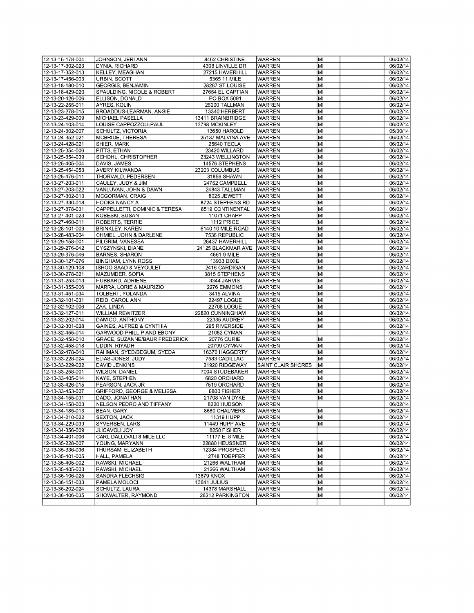| 12-13-15-178-004                     | JOHNSON, JERI ANN                                  | 8462 CHRISTINE                    | <b>WARREN</b>             | lмı      | 06/02/14             |
|--------------------------------------|----------------------------------------------------|-----------------------------------|---------------------------|----------|----------------------|
| 12-13-17-302-023                     | DYNIA, RICHARD                                     | 4308 LINVILLE DR                  | WARREN                    | MI       | 06/02/14             |
| 12-13-17-352-013                     | <b>KELLEY, MEAGHAN</b>                             | 27215 HAVERHILL                   | <b>WARREN</b>             | MІ       | 06/02/14             |
| 12-13-17-456-003                     | URBIN, SCOTT                                       | 5365 11 MILE                      | <b>WARREN</b>             | MI       | 06/02/14             |
| 12-13-18-180-010                     | <b>GEORGIS, BENJAMIN</b>                           | 28287 ST LOUISE                   | <b>WARREN</b>             | MI       | 06/02/14             |
| 12-13-18-429-020                     | SPAULDING, NICOLE & ROBERT                         | 27654 EL CAPTIAN                  | <b>WARREN</b>             | lмı      | 06/02/14             |
| 12-13-20-426-006                     | ELLISON, DONALD                                    | PO BOX 5091                       | WARREN                    | MI       | 06/02/14             |
| 12-13-22-255-011                     | AYRES, KOLIN                                       | 26200 TALLMAN                     | <b>WARREN</b>             | MІ       | 06/02/14             |
| 12-13-23-278-015                     | BROADDUS-LEARMAN, ANGIE                            | 13340 HERBERT                     | <b>WARREN</b>             | MI       | 06/02/14             |
| 12-13-23-429-009                     | <b>MICHAEL PASELLA</b>                             | 13411 BRAINBRIDGE                 | <b>WARREN</b>             | MI       | 06/02/14             |
| 12-13-24-103-014                     | LOUISE CAPPOZZOLI-PAUL                             | 13798 MCKINLEY                    | <b>WARREN</b>             | lмı      | 06/02/14             |
| 12-13-24-302-007                     | SCHULTZ, VICTORIA                                  | 13650 HAROLD                      | <b>WARREN</b>             | MI       | 05/30/14             |
| 12-13-24-352-021                     | <b>MCBRIDE, THERESA</b>                            | 25137 MALVINA AVE                 | <b>WARREN</b>             | MІ       | 06/02/14             |
| 12-13-24-428-021                     | <b>SHIER, MARK</b>                                 | 25640 TECLA                       | <b>WARREN</b>             | MI       | 06/02/14             |
| 12-13-25-354-006                     | PITTS, ETHAN                                       | 23420 WILLARD                     | <b>WARREN</b>             | MІ       | 06/02/14             |
| 12-13-25-354-039                     | SCHOHL, CHRISTOPHER                                | 23243 WELLINGTON                  | <b>WARREN</b>             | lмı      | 06/02/14             |
| 12-13-25-405-004                     | DAVIS, JAMES                                       | 14576 STEPHENS                    | <b>WARREN</b>             | MI       | 06/02/14             |
| 12-13-25-454-053                     | <b>AVERY KILWANDA</b>                              | 23203 COLUMBUS                    | <b>WARREN</b>             | MI       | 06/02/14             |
| 12-13-25-476-011                     | THORVALD, PEDERSEN                                 | 31859 SHAWN                       | <b>WARREN</b>             | MI       | 06/02/14             |
| 12-13-27-203-011                     | CAULEY, JUDY & JIM                                 | 24752 CAMPBELL                    | <b>WARREN</b>             | MI       | 06/02/14             |
| 12-13-27-203-022                     | VANLUVAN, JOHN & DAWN                              | 24843 TALLMAN                     | <b>WARREN</b>             | lмı      | 06/02/14             |
| 12-13-27-302-013                     | MCGORMAN, CRAIG                                    | 8025 JEWETT                       | <b>WARREN</b>             | MI       | 06/02/14             |
| 12-13-27-330-018                     | <b>HOOKS NANCY A</b>                               | 8724 STEPHENS RD                  | <b>WARREN</b>             | MІ       | 06/02/14             |
| 12-13-27-378-031                     | CAPPELLETTI, DOMINIC & TERESA                      | 8519 CONTINENTAL                  | <b>WARREN</b>             | MI       | 06/02/14             |
| 12-13-27-401-023                     | KOBESKI, SUSAN                                     | 11071 CHAPP                       | <b>WARREN</b>             | MI       | 06/02/14             |
| 12-13-27-460-011                     | <b>ROBERTS, TERRIE</b>                             | 1112 PRICE                        | <b>WARREN</b>             | lмı      | 06/02/14             |
| 12-13-28-101-009<br>12-13-28-483-004 | <b>BRINKLEY, KAREN</b>                             | 6140 10 MILE ROAD                 | <b>WARREN</b>             | MI       | 06/02/14             |
|                                      | CHMIEL, JOHN & DARLENE                             | 7536 REPUBLIC                     | <b>WARREN</b>             | MІ       | 06/02/14             |
| 12-13-29-158-001                     | PILGRIM, VANESSA                                   | 26437 HAVERHILL                   | <b>WARREN</b>             | MI<br>MІ | 06/02/14<br>06/02/14 |
| 12-13-29-276-042<br>12-13-29-376-046 | DYSZYNSKI, DIANE<br><b>BARNES, SHARON</b>          | 24125 BLACKMAR AVE<br>4661 9 MILE | <b>WARREN</b>             | lмı      | 06/02/14             |
|                                      |                                                    |                                   | <b>WARREN</b>             | MI       | 06/02/14             |
| 12-13-30-127-076<br>12-13-30-129-108 | <b>BINGHAM, LYNN ROSS</b><br>ISHOO SAAD & VEYOULET | 13933 DIXIE<br>2416 CARDIGAN      | WARREN<br><b>WARREN</b>   | MI       | 06/02/14             |
| 12-13-30-278-021                     | MAZUMDER, SOFIA                                    | 3815 STEPHENS                     | <b>WARREN</b>             | MI       | 06/02/14             |
| 12-13-31-253-013                     | HUBBARD, ADRIENE                                   | 3344 JARVIS                       | <b>WARREN</b>             | MI       | 06/02/14             |
| 12-13-31-355-006                     | MARRA, LORIE & MAURIZIO                            | 2276 EMMONS                       | <b>WARREN</b>             | lмı      | 06/02/14             |
| 12-13-31-451-034                     | TOLBERT, YOLANDA                                   | 3415 ALVINA                       | WARREN                    | lмı      | 06/02/14             |
| 12-13-32-101-031                     | REID, CAROL ANN                                    | 22497 LOGUE                       | <b>WARREN</b>             | MІ       | 06/02/14             |
| 12-13-32-102-006                     | ZAK, LINDA                                         | 22708 LOGUE                       | <b>WARREN</b>             | MI       | 06/02/14             |
| 12-13-32-127-011                     | WILLIAM REWITZER                                   | 22820 CUNNINGHAM                  | <b>WARREN</b>             | MІ       | 06/02/14             |
| 12-13-32-202-014                     | DAMICO, ANTHONY                                    | 22335 AUDREY                      | <b>WARREN</b>             | lмı      | 06/02/14             |
| 12-13-32-301-028                     | GAINES, ALFRED & CYNTHIA                           | 295 RIVERSIDE                     | WARREN                    | lмı      | 06/02/14             |
| 12-13-32-455-014                     | <b>GARWOOD PHILLIP AND EBONY</b>                   | 21052 CYMAN                       | <b>WARREN</b>             |          | 06/02/14             |
| 12-13-32-458-010                     | GRACE, SUZANNE/BAUR FREDERICK                      | <b>20776 CURIE</b>                | <b>WARREN</b>             | lмı      | 06/02/14             |
| 12-13-32-458-018                     | UDDIN, RIYADH                                      | 20799 CYMAN                       | WARREN                    | MІ       | 06/02/14             |
| 12-13-32-478-040                     | RAHMAN, SYED/BEGUM, SYEDA                          | 16370 HAGGERTY                    | <b>WARREN</b>             | lмı      | 06/02/14             |
| 12-13-33-228-024                     | ELIAS-JONES, JUDY                                  | 7583 CADILLAC                     | WARREN                    | MI       | 06/02/14             |
| 12-13-33-229-022                     | <b>DAVID JENKINS</b>                               | 21920 RIDGEWAY                    | <b>SAINT CLAIR SHORES</b> | MI       | 06/02/14             |
| 12-13-33-258-001                     | <b>WILSON, DANIEL</b>                              | 7004 STUDEBAKER                   | <b>WARREN</b>             | lмı      | 06/02/14             |
| 12-13-33-405-014                     | <b>KAYE, STEPHEN</b>                               | 6820 ORCHARD                      | <b>WARREN</b>             | MI       | 06/02/14             |
| 12-13-33-426-015                     | PEARSON, JACK JR                                   | 7519 ORCHARD                      | <b>WARREN</b>             | lмı      | 06/02/14             |
| 12-13-33-453-007                     | <b>GRIFFORD, GEORGE &amp; MELISSA</b>              | 6800 FISHER                       | <b>WARREN</b>             | lмı      | 06/02/14             |
| 12-13-34-155-031                     | DADO, JONATHAN                                     | 21708 VAN DYKE                    | <b>WARREN</b>             | lмı      | 06/02/14             |
| 12-13-34-158-003                     | NELSON PEDRO AND TIFFANY                           | 8220 HUDSON                       | WARREN                    |          | 06/02/14             |
| 12-13-34-185-013                     | BEAN, GARY                                         | 8680 CHALMERS                     | WARREN                    | MI       | 06/02/14             |
| 12-13-34-210-022                     | <b>SEXTON, JACK</b>                                | 11319 HUPP                        | <b>WARREN</b>             | lмı      | 06/02/14             |
| 12-13-34-229-039                     | SYVERSEN, LARS                                     | 11449 HUPP AVE                    | WARREN                    | MI       | 06/02/14             |
| 12-13-34-356-009                     | <b>JLICAVOLI JOY</b>                               | 8250 FISHER                       | <b>WARREN</b>             |          | 06/02/14             |
| 12-13-34-401-006                     | CARL DALLO/ALI 8 MILE LLC                          | 11177 E. 8 MILE                   | <b>WARREN</b>             |          | 06/02/14             |
| 12-13-35-228-007                     | YOUNG, MARYANN                                     | 22880 HEUSSNER                    | WARREN                    | MI       | 06/02/14             |
| 12-13-35-336-036                     | THURSAM, ELIZABETH                                 | 12384 PROSPECT                    | <b>WARREN</b>             | lмı      | 06/02/14             |
| 12-13-35-401-005                     | HALL, PAMELA                                       | 12748 TOEPFER                     | <b>WARREN</b>             | MI       | 06/02/14             |
| 12-13-35-405-002                     | RAWSKI, MICHAEL                                    | 21266 WALTHAM                     | <b>WARREN</b>             | MІ       | 06/02/14             |
| 12-13-35-405-003                     | RAWSKI, MICHAEL                                    | 21266 WALTHAM                     | WARREN                    | lмı      | 06/02/14             |
| 12-13-36-106-025                     | <b>SANDRA FLECHSIG</b>                             | 13879 KNOX                        | WARREN                    | MI       | 06/02/14             |
| 12-13-36-151-033                     | PAMELA MOLOCI                                      | <b>13641 JULIUS</b>               | <b>WARREN</b>             | lмı      | 06/02/14             |
| 12-13-36-202-024                     | <b>SCHULTZ, LAURA</b>                              | 14378 MARSHALL                    | WARREN                    | MI       | 06/02/14             |
| 12-13-36-406-035                     | SHOWALTER, RAYMOND                                 | 26212 PARKINGTON                  | WARREN                    | MІ       | 06/02/14             |
|                                      |                                                    |                                   |                           |          |                      |